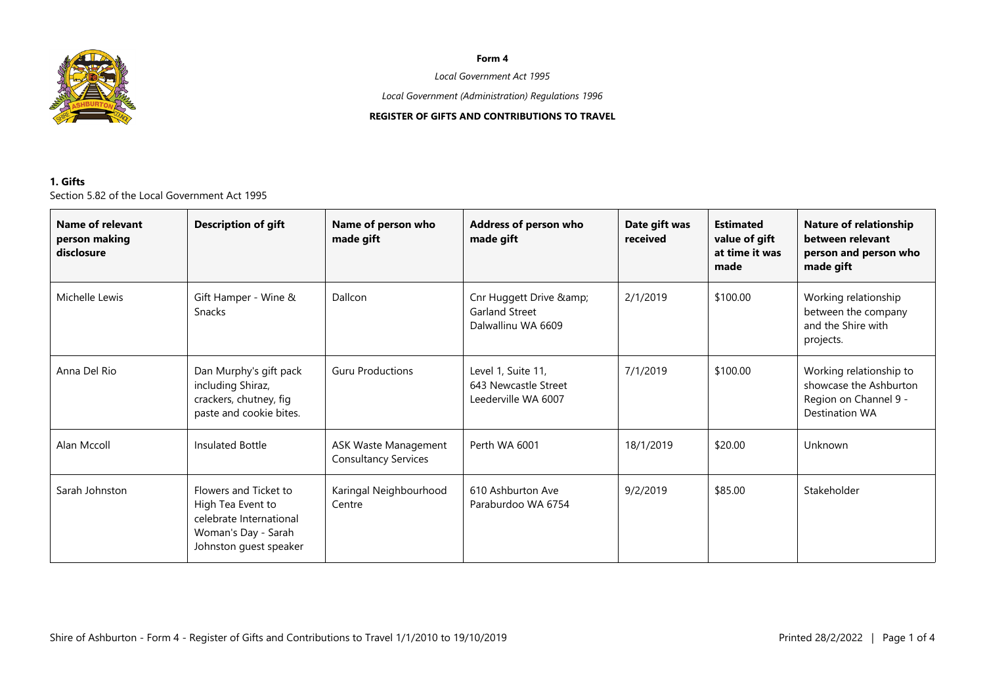

#### **Form 4**

### *Local Government Act 1995*

*Local Government (Administration) Regulations 1996*

# **REGISTER OF GIFTS AND CONTRIBUTIONS TO TRAVEL**

# **1. Gifts** Section 5.82 of the Local Government Act 1995

| Name of relevant<br>person making<br>disclosure | <b>Description of gift</b>                                                                                             | Name of person who<br>made gift                            | Address of person who<br>made gift                                 | Date gift was<br>received | <b>Estimated</b><br>value of gift<br>at time it was<br>made | <b>Nature of relationship</b><br>between relevant<br>person and person who<br>made gift      |
|-------------------------------------------------|------------------------------------------------------------------------------------------------------------------------|------------------------------------------------------------|--------------------------------------------------------------------|---------------------------|-------------------------------------------------------------|----------------------------------------------------------------------------------------------|
| Michelle Lewis                                  | Gift Hamper - Wine &<br><b>Snacks</b>                                                                                  | Dallcon                                                    | Cnr Huggett Drive &<br><b>Garland Street</b><br>Dalwallinu WA 6609 | 2/1/2019                  | \$100.00                                                    | Working relationship<br>between the company<br>and the Shire with<br>projects.               |
| Anna Del Rio                                    | Dan Murphy's gift pack<br>including Shiraz,<br>crackers, chutney, fig<br>paste and cookie bites.                       | <b>Guru Productions</b>                                    | Level 1, Suite 11,<br>643 Newcastle Street<br>Leederville WA 6007  | 7/1/2019                  | \$100.00                                                    | Working relationship to<br>showcase the Ashburton<br>Region on Channel 9 -<br>Destination WA |
| Alan Mccoll                                     | Insulated Bottle                                                                                                       | <b>ASK Waste Management</b><br><b>Consultancy Services</b> | Perth WA 6001                                                      | 18/1/2019                 | \$20.00                                                     | Unknown                                                                                      |
| Sarah Johnston                                  | Flowers and Ticket to<br>High Tea Event to<br>celebrate International<br>Woman's Day - Sarah<br>Johnston guest speaker | Karingal Neighbourhood<br>Centre                           | 610 Ashburton Ave<br>Paraburdoo WA 6754                            | 9/2/2019                  | \$85.00                                                     | Stakeholder                                                                                  |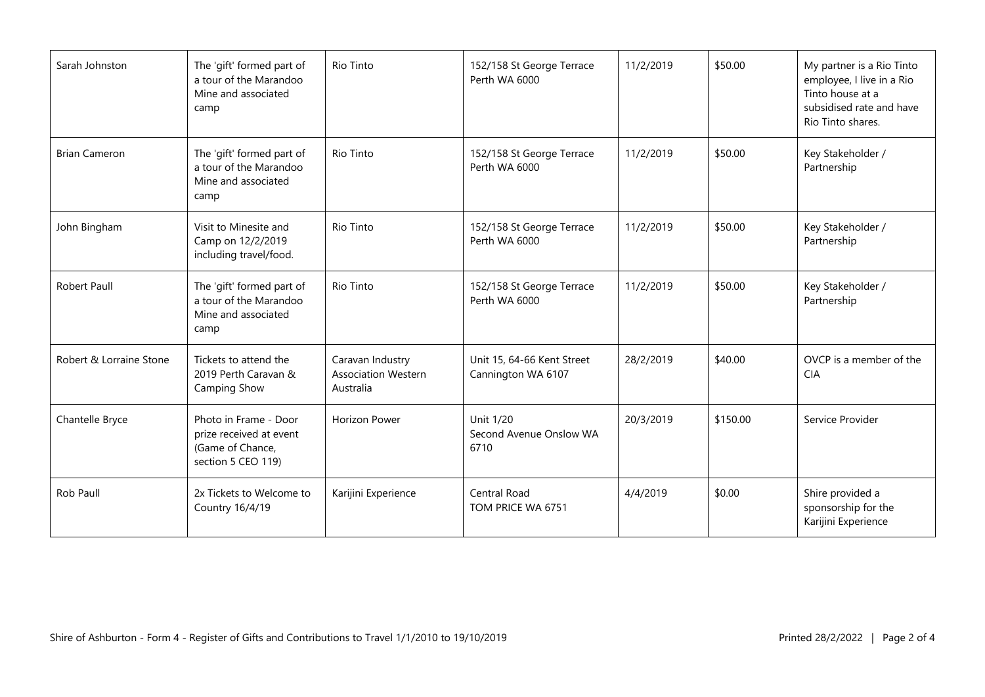| Sarah Johnston          | The 'gift' formed part of<br>a tour of the Marandoo<br>Mine and associated<br>camp         | Rio Tinto                                                   | 152/158 St George Terrace<br>Perth WA 6000       | 11/2/2019 | \$50.00  | My partner is a Rio Tinto<br>employee, I live in a Rio<br>Tinto house at a<br>subsidised rate and have<br>Rio Tinto shares. |
|-------------------------|--------------------------------------------------------------------------------------------|-------------------------------------------------------------|--------------------------------------------------|-----------|----------|-----------------------------------------------------------------------------------------------------------------------------|
| <b>Brian Cameron</b>    | The 'gift' formed part of<br>a tour of the Marandoo<br>Mine and associated<br>camp         | Rio Tinto                                                   | 152/158 St George Terrace<br>Perth WA 6000       | 11/2/2019 | \$50.00  | Key Stakeholder /<br>Partnership                                                                                            |
| John Bingham            | Visit to Minesite and<br>Camp on 12/2/2019<br>including travel/food.                       | Rio Tinto                                                   | 152/158 St George Terrace<br>Perth WA 6000       | 11/2/2019 | \$50.00  | Key Stakeholder /<br>Partnership                                                                                            |
| Robert Paull            | The 'gift' formed part of<br>a tour of the Marandoo<br>Mine and associated<br>camp         | <b>Rio Tinto</b>                                            | 152/158 St George Terrace<br>Perth WA 6000       | 11/2/2019 | \$50.00  | Key Stakeholder /<br>Partnership                                                                                            |
| Robert & Lorraine Stone | Tickets to attend the<br>2019 Perth Caravan &<br>Camping Show                              | Caravan Industry<br><b>Association Western</b><br>Australia | Unit 15, 64-66 Kent Street<br>Cannington WA 6107 | 28/2/2019 | \$40.00  | OVCP is a member of the<br><b>CIA</b>                                                                                       |
| Chantelle Bryce         | Photo in Frame - Door<br>prize received at event<br>(Game of Chance,<br>section 5 CEO 119) | <b>Horizon Power</b>                                        | Unit 1/20<br>Second Avenue Onslow WA<br>6710     | 20/3/2019 | \$150.00 | Service Provider                                                                                                            |
| Rob Paull               | 2x Tickets to Welcome to<br>Country 16/4/19                                                | Karijini Experience                                         | Central Road<br>TOM PRICE WA 6751                | 4/4/2019  | \$0.00   | Shire provided a<br>sponsorship for the<br>Karijini Experience                                                              |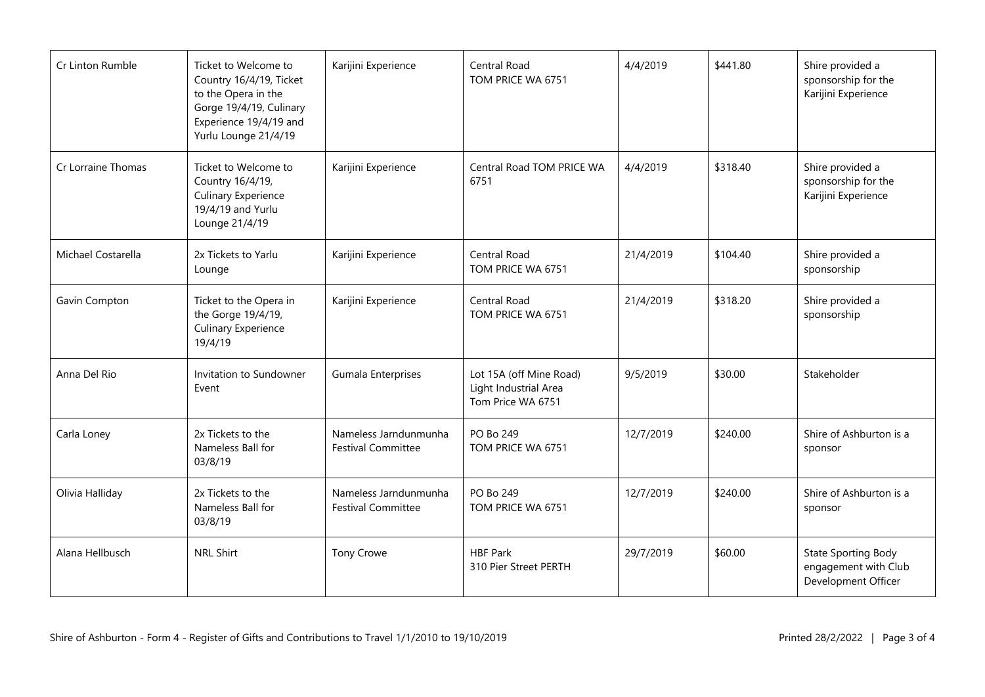| Cr Linton Rumble   | Ticket to Welcome to<br>Country 16/4/19, Ticket<br>to the Opera in the<br>Gorge 19/4/19, Culinary<br>Experience 19/4/19 and<br>Yurlu Lounge 21/4/19 | Karijini Experience                                | Central Road<br>TOM PRICE WA 6751                                     | 4/4/2019<br>\$441.80 |          | Shire provided a<br>sponsorship for the<br>Karijini Experience            |
|--------------------|-----------------------------------------------------------------------------------------------------------------------------------------------------|----------------------------------------------------|-----------------------------------------------------------------------|----------------------|----------|---------------------------------------------------------------------------|
| Cr Lorraine Thomas | Ticket to Welcome to<br>Country 16/4/19,<br><b>Culinary Experience</b><br>19/4/19 and Yurlu<br>Lounge 21/4/19                                       | Karijini Experience                                | Central Road TOM PRICE WA<br>6751                                     | 4/4/2019             | \$318.40 | Shire provided a<br>sponsorship for the<br>Karijini Experience            |
| Michael Costarella | 2x Tickets to Yarlu<br>Lounge                                                                                                                       | Karijini Experience                                | Central Road<br>TOM PRICE WA 6751                                     | 21/4/2019            | \$104.40 | Shire provided a<br>sponsorship                                           |
| Gavin Compton      | Ticket to the Opera in<br>the Gorge 19/4/19,<br><b>Culinary Experience</b><br>19/4/19                                                               | Karijini Experience                                | Central Road<br>TOM PRICE WA 6751                                     | 21/4/2019            | \$318.20 | Shire provided a<br>sponsorship                                           |
| Anna Del Rio       | Invitation to Sundowner<br>Event                                                                                                                    | Gumala Enterprises                                 | Lot 15A (off Mine Road)<br>Light Industrial Area<br>Tom Price WA 6751 | 9/5/2019             | \$30.00  | Stakeholder                                                               |
| Carla Loney        | 2x Tickets to the<br>Nameless Ball for<br>03/8/19                                                                                                   | Nameless Jarndunmunha<br><b>Festival Committee</b> | PO Bo 249<br>TOM PRICE WA 6751                                        | 12/7/2019            | \$240.00 | Shire of Ashburton is a<br>sponsor                                        |
| Olivia Halliday    | 2x Tickets to the<br>Nameless Ball for<br>03/8/19                                                                                                   | Nameless Jarndunmunha<br><b>Festival Committee</b> | PO Bo 249<br>TOM PRICE WA 6751                                        | 12/7/2019            | \$240.00 | Shire of Ashburton is a<br>sponsor                                        |
| Alana Hellbusch    | <b>NRL Shirt</b>                                                                                                                                    | Tony Crowe                                         | <b>HBF Park</b><br>310 Pier Street PERTH                              | 29/7/2019            | \$60.00  | <b>State Sporting Body</b><br>engagement with Club<br>Development Officer |